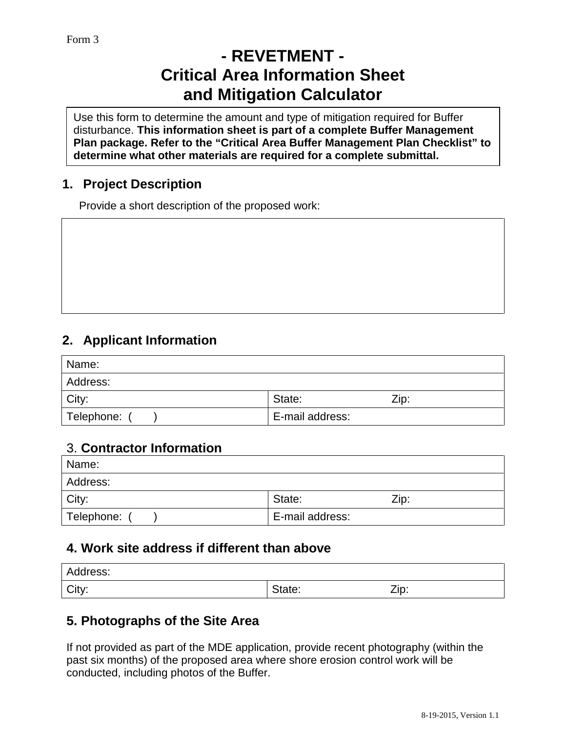# **- REVETMENT - Critical Area Information Sheet and Mitigation Calculator**

Use this form to determine the amount and type of mitigation required for Buffer disturbance. **This information sheet is part of a complete Buffer Management Plan package. Refer to the "Critical Area Buffer Management Plan Checklist" to determine what other materials are required for a complete submittal.**

### **1. Project Description**

Provide a short description of the proposed work:

## **2. Applicant Information**

| Name:        |                 |      |
|--------------|-----------------|------|
| Address:     |                 |      |
| City:        | State:          | Zip: |
| Telephone: / | E-mail address: |      |

#### 3. **Contractor Information**

| Name:      |                 |      |
|------------|-----------------|------|
| Address:   |                 |      |
| City:      | State:          | Zip: |
| Telephone: | E-mail address: |      |

### **4. Work site address if different than above**

| Address: |        |      |
|----------|--------|------|
| City:    | State: | Zip: |

### **5. Photographs of the Site Area**

If not provided as part of the MDE application, provide recent photography (within the past six months) of the proposed area where shore erosion control work will be conducted, including photos of the Buffer.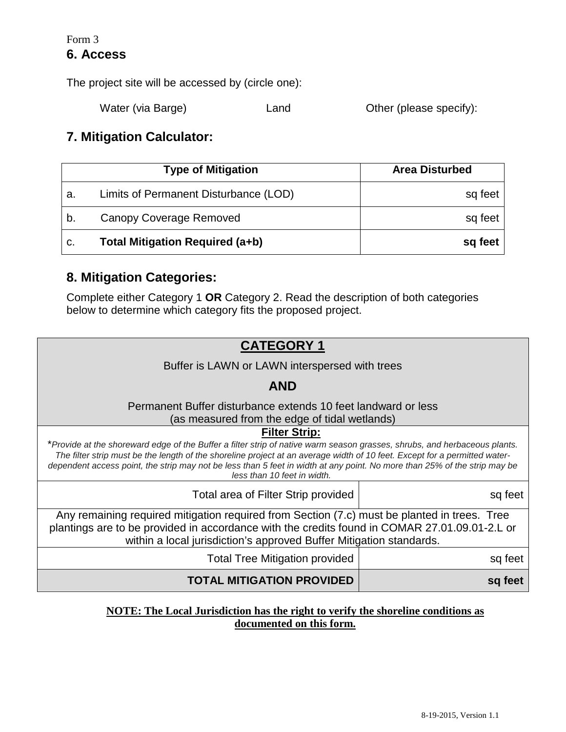#### Form 3 **6. Access**

The project site will be accessed by (circle one):

Water (via Barge) **Land** Cther (please specify):

### **7. Mitigation Calculator:**

|    | <b>Type of Mitigation</b>             | <b>Area Disturbed</b> |
|----|---------------------------------------|-----------------------|
| а. | Limits of Permanent Disturbance (LOD) | sq feet               |
| b. | Canopy Coverage Removed               | sq feet               |
| c. | Total Mitigation Required (a+b)       | sq feet               |

### **8. Mitigation Categories:**

Complete either Category 1 **OR** Category 2. Read the description of both categories below to determine which category fits the proposed project.



#### **NOTE: The Local Jurisdiction has the right to verify the shoreline conditions as documented on this form.**